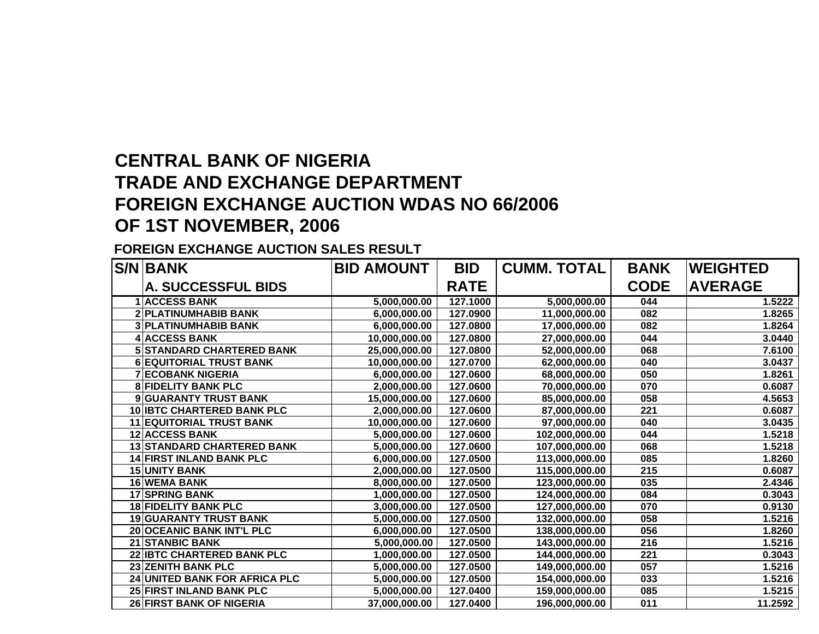## **CENTRAL BANK OF NIGERIA TRADE AND EXCHANGE DEPARTMENT FOREIGN EXCHANGE AUCTION WDAS NO 66/2006 OF 1ST NOVEMBER, 2006**

## **FOREIGN EXCHANGE AUCTION SALES RESULT**

|    | <b>S/N BANK</b>                   | <b>BID AMOUNT</b> | <b>BID</b>  | <b>CUMM. TOTAL</b> | <b>BANK</b> | <b>WEIGHTED</b> |
|----|-----------------------------------|-------------------|-------------|--------------------|-------------|-----------------|
|    | <b>A. SUCCESSFUL BIDS</b>         |                   | <b>RATE</b> |                    | <b>CODE</b> | <b>AVERAGE</b>  |
|    | <b>ACCESS BANK</b>                | 5,000,000.00      | 127.1000    | 5,000,000.00       | 044         | 1.5222          |
| 2  | <b>PLATINUMHABIB BANK</b>         | 6,000,000.00      | 127.0900    | 11,000,000.00      | 082         | 1.8265          |
|    | <b>3 PLATINUMHABIB BANK</b>       | 6,000,000.00      | 127.0800    | 17,000,000.00      | 082         | 1.8264          |
|    | <b>ACCESS BANK</b>                | 10,000,000.00     | 127.0800    | 27,000,000.00      | 044         | 3.0440          |
| 5  | <b>STANDARD CHARTERED BANK</b>    | 25,000,000.00     | 127.0800    | 52,000,000.00      | 068         | 7.6100          |
| 6  | <b>EQUITORIAL TRUST BANK</b>      | 10,000,000.00     | 127.0700    | 62,000,000.00      | 040         | 3.0437          |
|    | <b>ECOBANK NIGERIA</b>            | 6,000,000.00      | 127.0600    | 68,000,000.00      | 050         | 1.8261          |
| 8  | <b>FIDELITY BANK PLC</b>          | 2,000,000.00      | 127.0600    | 70,000,000.00      | 070         | 0.6087          |
|    | 9 GUARANTY TRUST BANK             | 15,000,000.00     | 127.0600    | 85,000,000.00      | 058         | 4.5653          |
|    | <b>10 IBTC CHARTERED BANK PLC</b> | 2,000,000.00      | 127.0600    | 87,000,000.00      | 221         | 0.6087          |
|    | <b>11 EQUITORIAL TRUST BANK</b>   | 10,000,000.00     | 127.0600    | 97,000,000.00      | 040         | 3.0435          |
|    | <b>12 ACCESS BANK</b>             | 5,000,000.00      | 127.0600    | 102,000,000.00     | 044         | 1.5218          |
|    | <b>13 STANDARD CHARTERED BANK</b> | 5,000,000.00      | 127.0600    | 107,000,000.00     | 068         | 1.5218          |
| 14 | <b>FIRST INLAND BANK PLC</b>      | 6,000,000.00      | 127.0500    | 113,000,000.00     | 085         | 1.8260          |
| 15 | <b>UNITY BANK</b>                 | 2,000,000.00      | 127.0500    | 115,000,000.00     | 215         | 0.6087          |
|    | <b>16 WEMA BANK</b>               | 8,000,000.00      | 127.0500    | 123,000,000.00     | 035         | 2.4346          |
|    | <b>17 SPRING BANK</b>             | 1,000,000.00      | 127.0500    | 124,000,000.00     | 084         | 0.3043          |
|    | <b>18 FIDELITY BANK PLC</b>       | 3,000,000.00      | 127.0500    | 127,000,000.00     | 070         | 0.9130          |
| 19 | <b>GUARANTY TRUST BANK</b>        | 5,000,000.00      | 127.0500    | 132,000,000.00     | 058         | 1.5216          |
| 20 | <b>OCEANIC BANK INT'L PLC</b>     | 6,000,000.00      | 127.0500    | 138,000,000.00     | 056         | 1.8260          |
| 21 | <b>STANBIC BANK</b>               | 5,000,000.00      | 127.0500    | 143,000,000.00     | 216         | 1.5216          |
| 22 | <b>IBTC CHARTERED BANK PLC</b>    | 1,000,000.00      | 127.0500    | 144,000,000.00     | 221         | 0.3043          |
|    | <b>23 ZENITH BANK PLC</b>         | 5,000,000.00      | 127.0500    | 149,000,000.00     | 057         | 1.5216          |
| 24 | <b>UNITED BANK FOR AFRICA PLC</b> | 5,000,000.00      | 127.0500    | 154,000,000.00     | 033         | 1.5216          |
|    | <b>25 FIRST INLAND BANK PLC</b>   | 5,000,000.00      | 127.0400    | 159,000,000.00     | 085         | 1.5215          |
|    | <b>26 FIRST BANK OF NIGERIA</b>   | 37.000.000.00     | 127.0400    | 196.000.000.00     | 011         | 11.2592         |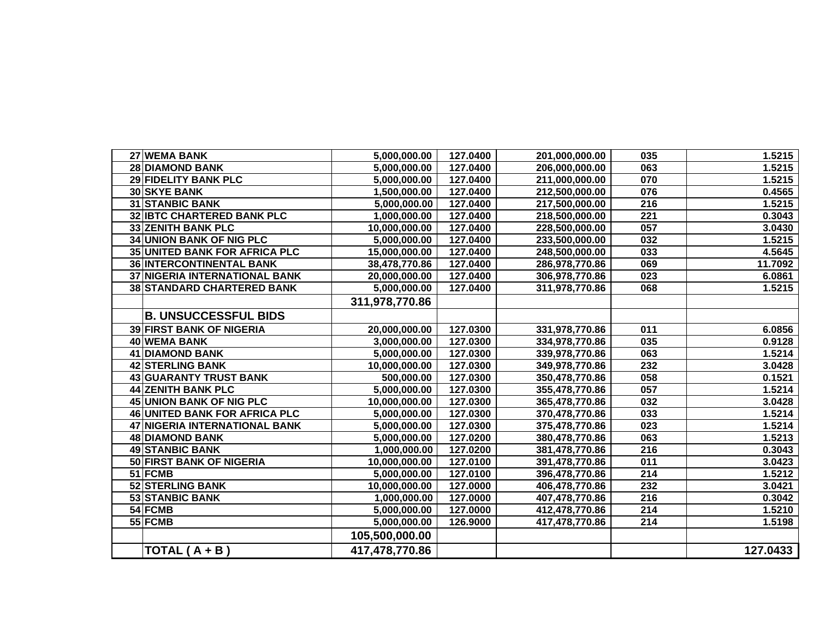| 27 WEMA BANK<br>5,000,000.00<br>127.0400<br>035<br>201,000,000.00<br><b>28 DIAMOND BANK</b><br>127.0400<br>063<br>5,000,000.00<br>206,000,000.00<br>29 FIDELITY BANK PLC<br>5,000,000.00<br>127.0400<br>211,000,000.00<br>070<br>1.5215<br>30 SKYE BANK<br>076<br>127.0400<br>212,500,000.00<br>1,500,000.00<br>0.4565<br><b>31 STANBIC BANK</b><br>216<br>1.5215<br>5,000,000.00<br>127.0400<br>217,500,000.00<br><b>32 IBTC CHARTERED BANK PLC</b><br>1,000,000.00<br>127.0400<br>218,500,000.00<br>221<br>0.3043<br><b>33 ZENITH BANK PLC</b><br>127.0400<br>057<br>3.0430<br>10,000,000.00<br>228,500,000.00<br><b>34 UNION BANK OF NIG PLC</b><br>127.0400<br>5,000,000.00<br>233,500,000.00<br>032<br>1.5215<br><b>35 UNITED BANK FOR AFRICA PLC</b><br>127.0400<br>248,500,000.00<br>033<br>4.5645<br>15,000,000.00<br><b>36 INTERCONTINENTAL BANK</b><br>127.0400<br>069<br>11.7092<br>38,478,770.86<br>286,978,770.86<br><b>37 NIGERIA INTERNATIONAL BANK</b><br>20,000,000.00<br>127.0400<br>306,978,770.86<br>023<br>6.0861<br>1.5215<br><b>38 STANDARD CHARTERED BANK</b><br>5,000,000.00<br>127.0400<br>068<br>311,978,770.86<br>311,978,770.86<br><b>B. UNSUCCESSFUL BIDS</b><br><b>39 FIRST BANK OF NIGERIA</b><br>127.0300<br>20,000,000.00<br>331,978,770.86<br>011<br>6.0856<br>40 WEMA BANK<br>127.0300<br>3,000,000.00<br>035<br>0.9128<br>334,978,770.86<br>063<br><b>41 DIAMOND BANK</b><br>5,000,000.00<br>127.0300<br>1.5214<br>339,978,770.86<br>42 STERLING BANK<br>127.0300<br>232<br>3.0428<br>10,000,000.00<br>349,978,770.86<br>43 GUARANTY TRUST BANK<br>127.0300<br>500,000.00<br>058<br>0.1521<br>350,478,770.86<br><b>44 ZENITH BANK PLC</b><br>057<br>1.5214<br>5,000,000.00<br>127.0300<br>355,478,770.86<br>45 UNION BANK OF NIG PLC<br>10,000,000.00<br>127.0300<br>032<br>3.0428<br>365,478,770.86<br>1.5214<br><b>46 UNITED BANK FOR AFRICA PLC</b><br>127.0300<br>033<br>5,000,000.00<br>370,478,770.86<br>47 NIGERIA INTERNATIONAL BANK<br>127.0300<br>023<br>1.5214<br>5,000,000.00<br>375,478,770.86<br><b>48 DIAMOND BANK</b><br>127.0200<br>063<br>1.5213<br>5,000,000.00<br>380,478,770.86<br><b>49 STANBIC BANK</b><br>127.0200<br>216<br>1,000,000.00<br>0.3043<br>381,478,770.86<br>50 FIRST BANK OF NIGERIA<br>127.0100<br>011<br>10,000,000.00<br>391,478,770.86<br>3.0423<br>51 FCMB<br>214<br>1.5212<br>5,000,000.00<br>127.0100<br>396,478,770.86<br>52 STERLING BANK<br>232<br>10,000,000.00<br>127.0000<br>3.0421<br>406,478,770.86<br>53 STANBIC BANK<br>1,000,000.00<br>127.0000<br>216<br>0.3042<br>407,478,770.86<br>54 FCMB<br>127.0000<br>214<br>5,000,000.00<br>412,478,770.86<br>55 FCMB<br>1.5198<br>5,000,000.00<br>126.9000<br>417,478,770.86<br>214<br>105,500,000.00<br>127.0433<br>TOTAL (A + B)<br>417,478,770.86 |  |  |        |
|-------------------------------------------------------------------------------------------------------------------------------------------------------------------------------------------------------------------------------------------------------------------------------------------------------------------------------------------------------------------------------------------------------------------------------------------------------------------------------------------------------------------------------------------------------------------------------------------------------------------------------------------------------------------------------------------------------------------------------------------------------------------------------------------------------------------------------------------------------------------------------------------------------------------------------------------------------------------------------------------------------------------------------------------------------------------------------------------------------------------------------------------------------------------------------------------------------------------------------------------------------------------------------------------------------------------------------------------------------------------------------------------------------------------------------------------------------------------------------------------------------------------------------------------------------------------------------------------------------------------------------------------------------------------------------------------------------------------------------------------------------------------------------------------------------------------------------------------------------------------------------------------------------------------------------------------------------------------------------------------------------------------------------------------------------------------------------------------------------------------------------------------------------------------------------------------------------------------------------------------------------------------------------------------------------------------------------------------------------------------------------------------------------------------------------------------------------------------------------------------------------------------------------------------------------------------------------------------------------------------------------------------------------------------------------------------------------------------------------------------------------------------------------------------|--|--|--------|
|                                                                                                                                                                                                                                                                                                                                                                                                                                                                                                                                                                                                                                                                                                                                                                                                                                                                                                                                                                                                                                                                                                                                                                                                                                                                                                                                                                                                                                                                                                                                                                                                                                                                                                                                                                                                                                                                                                                                                                                                                                                                                                                                                                                                                                                                                                                                                                                                                                                                                                                                                                                                                                                                                                                                                                                           |  |  | 1.5215 |
|                                                                                                                                                                                                                                                                                                                                                                                                                                                                                                                                                                                                                                                                                                                                                                                                                                                                                                                                                                                                                                                                                                                                                                                                                                                                                                                                                                                                                                                                                                                                                                                                                                                                                                                                                                                                                                                                                                                                                                                                                                                                                                                                                                                                                                                                                                                                                                                                                                                                                                                                                                                                                                                                                                                                                                                           |  |  | 1.5215 |
|                                                                                                                                                                                                                                                                                                                                                                                                                                                                                                                                                                                                                                                                                                                                                                                                                                                                                                                                                                                                                                                                                                                                                                                                                                                                                                                                                                                                                                                                                                                                                                                                                                                                                                                                                                                                                                                                                                                                                                                                                                                                                                                                                                                                                                                                                                                                                                                                                                                                                                                                                                                                                                                                                                                                                                                           |  |  |        |
|                                                                                                                                                                                                                                                                                                                                                                                                                                                                                                                                                                                                                                                                                                                                                                                                                                                                                                                                                                                                                                                                                                                                                                                                                                                                                                                                                                                                                                                                                                                                                                                                                                                                                                                                                                                                                                                                                                                                                                                                                                                                                                                                                                                                                                                                                                                                                                                                                                                                                                                                                                                                                                                                                                                                                                                           |  |  |        |
|                                                                                                                                                                                                                                                                                                                                                                                                                                                                                                                                                                                                                                                                                                                                                                                                                                                                                                                                                                                                                                                                                                                                                                                                                                                                                                                                                                                                                                                                                                                                                                                                                                                                                                                                                                                                                                                                                                                                                                                                                                                                                                                                                                                                                                                                                                                                                                                                                                                                                                                                                                                                                                                                                                                                                                                           |  |  |        |
|                                                                                                                                                                                                                                                                                                                                                                                                                                                                                                                                                                                                                                                                                                                                                                                                                                                                                                                                                                                                                                                                                                                                                                                                                                                                                                                                                                                                                                                                                                                                                                                                                                                                                                                                                                                                                                                                                                                                                                                                                                                                                                                                                                                                                                                                                                                                                                                                                                                                                                                                                                                                                                                                                                                                                                                           |  |  |        |
|                                                                                                                                                                                                                                                                                                                                                                                                                                                                                                                                                                                                                                                                                                                                                                                                                                                                                                                                                                                                                                                                                                                                                                                                                                                                                                                                                                                                                                                                                                                                                                                                                                                                                                                                                                                                                                                                                                                                                                                                                                                                                                                                                                                                                                                                                                                                                                                                                                                                                                                                                                                                                                                                                                                                                                                           |  |  |        |
|                                                                                                                                                                                                                                                                                                                                                                                                                                                                                                                                                                                                                                                                                                                                                                                                                                                                                                                                                                                                                                                                                                                                                                                                                                                                                                                                                                                                                                                                                                                                                                                                                                                                                                                                                                                                                                                                                                                                                                                                                                                                                                                                                                                                                                                                                                                                                                                                                                                                                                                                                                                                                                                                                                                                                                                           |  |  |        |
|                                                                                                                                                                                                                                                                                                                                                                                                                                                                                                                                                                                                                                                                                                                                                                                                                                                                                                                                                                                                                                                                                                                                                                                                                                                                                                                                                                                                                                                                                                                                                                                                                                                                                                                                                                                                                                                                                                                                                                                                                                                                                                                                                                                                                                                                                                                                                                                                                                                                                                                                                                                                                                                                                                                                                                                           |  |  |        |
|                                                                                                                                                                                                                                                                                                                                                                                                                                                                                                                                                                                                                                                                                                                                                                                                                                                                                                                                                                                                                                                                                                                                                                                                                                                                                                                                                                                                                                                                                                                                                                                                                                                                                                                                                                                                                                                                                                                                                                                                                                                                                                                                                                                                                                                                                                                                                                                                                                                                                                                                                                                                                                                                                                                                                                                           |  |  |        |
|                                                                                                                                                                                                                                                                                                                                                                                                                                                                                                                                                                                                                                                                                                                                                                                                                                                                                                                                                                                                                                                                                                                                                                                                                                                                                                                                                                                                                                                                                                                                                                                                                                                                                                                                                                                                                                                                                                                                                                                                                                                                                                                                                                                                                                                                                                                                                                                                                                                                                                                                                                                                                                                                                                                                                                                           |  |  |        |
|                                                                                                                                                                                                                                                                                                                                                                                                                                                                                                                                                                                                                                                                                                                                                                                                                                                                                                                                                                                                                                                                                                                                                                                                                                                                                                                                                                                                                                                                                                                                                                                                                                                                                                                                                                                                                                                                                                                                                                                                                                                                                                                                                                                                                                                                                                                                                                                                                                                                                                                                                                                                                                                                                                                                                                                           |  |  |        |
|                                                                                                                                                                                                                                                                                                                                                                                                                                                                                                                                                                                                                                                                                                                                                                                                                                                                                                                                                                                                                                                                                                                                                                                                                                                                                                                                                                                                                                                                                                                                                                                                                                                                                                                                                                                                                                                                                                                                                                                                                                                                                                                                                                                                                                                                                                                                                                                                                                                                                                                                                                                                                                                                                                                                                                                           |  |  |        |
|                                                                                                                                                                                                                                                                                                                                                                                                                                                                                                                                                                                                                                                                                                                                                                                                                                                                                                                                                                                                                                                                                                                                                                                                                                                                                                                                                                                                                                                                                                                                                                                                                                                                                                                                                                                                                                                                                                                                                                                                                                                                                                                                                                                                                                                                                                                                                                                                                                                                                                                                                                                                                                                                                                                                                                                           |  |  |        |
|                                                                                                                                                                                                                                                                                                                                                                                                                                                                                                                                                                                                                                                                                                                                                                                                                                                                                                                                                                                                                                                                                                                                                                                                                                                                                                                                                                                                                                                                                                                                                                                                                                                                                                                                                                                                                                                                                                                                                                                                                                                                                                                                                                                                                                                                                                                                                                                                                                                                                                                                                                                                                                                                                                                                                                                           |  |  |        |
|                                                                                                                                                                                                                                                                                                                                                                                                                                                                                                                                                                                                                                                                                                                                                                                                                                                                                                                                                                                                                                                                                                                                                                                                                                                                                                                                                                                                                                                                                                                                                                                                                                                                                                                                                                                                                                                                                                                                                                                                                                                                                                                                                                                                                                                                                                                                                                                                                                                                                                                                                                                                                                                                                                                                                                                           |  |  |        |
|                                                                                                                                                                                                                                                                                                                                                                                                                                                                                                                                                                                                                                                                                                                                                                                                                                                                                                                                                                                                                                                                                                                                                                                                                                                                                                                                                                                                                                                                                                                                                                                                                                                                                                                                                                                                                                                                                                                                                                                                                                                                                                                                                                                                                                                                                                                                                                                                                                                                                                                                                                                                                                                                                                                                                                                           |  |  |        |
|                                                                                                                                                                                                                                                                                                                                                                                                                                                                                                                                                                                                                                                                                                                                                                                                                                                                                                                                                                                                                                                                                                                                                                                                                                                                                                                                                                                                                                                                                                                                                                                                                                                                                                                                                                                                                                                                                                                                                                                                                                                                                                                                                                                                                                                                                                                                                                                                                                                                                                                                                                                                                                                                                                                                                                                           |  |  |        |
|                                                                                                                                                                                                                                                                                                                                                                                                                                                                                                                                                                                                                                                                                                                                                                                                                                                                                                                                                                                                                                                                                                                                                                                                                                                                                                                                                                                                                                                                                                                                                                                                                                                                                                                                                                                                                                                                                                                                                                                                                                                                                                                                                                                                                                                                                                                                                                                                                                                                                                                                                                                                                                                                                                                                                                                           |  |  |        |
|                                                                                                                                                                                                                                                                                                                                                                                                                                                                                                                                                                                                                                                                                                                                                                                                                                                                                                                                                                                                                                                                                                                                                                                                                                                                                                                                                                                                                                                                                                                                                                                                                                                                                                                                                                                                                                                                                                                                                                                                                                                                                                                                                                                                                                                                                                                                                                                                                                                                                                                                                                                                                                                                                                                                                                                           |  |  |        |
|                                                                                                                                                                                                                                                                                                                                                                                                                                                                                                                                                                                                                                                                                                                                                                                                                                                                                                                                                                                                                                                                                                                                                                                                                                                                                                                                                                                                                                                                                                                                                                                                                                                                                                                                                                                                                                                                                                                                                                                                                                                                                                                                                                                                                                                                                                                                                                                                                                                                                                                                                                                                                                                                                                                                                                                           |  |  |        |
|                                                                                                                                                                                                                                                                                                                                                                                                                                                                                                                                                                                                                                                                                                                                                                                                                                                                                                                                                                                                                                                                                                                                                                                                                                                                                                                                                                                                                                                                                                                                                                                                                                                                                                                                                                                                                                                                                                                                                                                                                                                                                                                                                                                                                                                                                                                                                                                                                                                                                                                                                                                                                                                                                                                                                                                           |  |  |        |
|                                                                                                                                                                                                                                                                                                                                                                                                                                                                                                                                                                                                                                                                                                                                                                                                                                                                                                                                                                                                                                                                                                                                                                                                                                                                                                                                                                                                                                                                                                                                                                                                                                                                                                                                                                                                                                                                                                                                                                                                                                                                                                                                                                                                                                                                                                                                                                                                                                                                                                                                                                                                                                                                                                                                                                                           |  |  |        |
|                                                                                                                                                                                                                                                                                                                                                                                                                                                                                                                                                                                                                                                                                                                                                                                                                                                                                                                                                                                                                                                                                                                                                                                                                                                                                                                                                                                                                                                                                                                                                                                                                                                                                                                                                                                                                                                                                                                                                                                                                                                                                                                                                                                                                                                                                                                                                                                                                                                                                                                                                                                                                                                                                                                                                                                           |  |  |        |
|                                                                                                                                                                                                                                                                                                                                                                                                                                                                                                                                                                                                                                                                                                                                                                                                                                                                                                                                                                                                                                                                                                                                                                                                                                                                                                                                                                                                                                                                                                                                                                                                                                                                                                                                                                                                                                                                                                                                                                                                                                                                                                                                                                                                                                                                                                                                                                                                                                                                                                                                                                                                                                                                                                                                                                                           |  |  |        |
|                                                                                                                                                                                                                                                                                                                                                                                                                                                                                                                                                                                                                                                                                                                                                                                                                                                                                                                                                                                                                                                                                                                                                                                                                                                                                                                                                                                                                                                                                                                                                                                                                                                                                                                                                                                                                                                                                                                                                                                                                                                                                                                                                                                                                                                                                                                                                                                                                                                                                                                                                                                                                                                                                                                                                                                           |  |  |        |
|                                                                                                                                                                                                                                                                                                                                                                                                                                                                                                                                                                                                                                                                                                                                                                                                                                                                                                                                                                                                                                                                                                                                                                                                                                                                                                                                                                                                                                                                                                                                                                                                                                                                                                                                                                                                                                                                                                                                                                                                                                                                                                                                                                                                                                                                                                                                                                                                                                                                                                                                                                                                                                                                                                                                                                                           |  |  |        |
|                                                                                                                                                                                                                                                                                                                                                                                                                                                                                                                                                                                                                                                                                                                                                                                                                                                                                                                                                                                                                                                                                                                                                                                                                                                                                                                                                                                                                                                                                                                                                                                                                                                                                                                                                                                                                                                                                                                                                                                                                                                                                                                                                                                                                                                                                                                                                                                                                                                                                                                                                                                                                                                                                                                                                                                           |  |  |        |
|                                                                                                                                                                                                                                                                                                                                                                                                                                                                                                                                                                                                                                                                                                                                                                                                                                                                                                                                                                                                                                                                                                                                                                                                                                                                                                                                                                                                                                                                                                                                                                                                                                                                                                                                                                                                                                                                                                                                                                                                                                                                                                                                                                                                                                                                                                                                                                                                                                                                                                                                                                                                                                                                                                                                                                                           |  |  |        |
|                                                                                                                                                                                                                                                                                                                                                                                                                                                                                                                                                                                                                                                                                                                                                                                                                                                                                                                                                                                                                                                                                                                                                                                                                                                                                                                                                                                                                                                                                                                                                                                                                                                                                                                                                                                                                                                                                                                                                                                                                                                                                                                                                                                                                                                                                                                                                                                                                                                                                                                                                                                                                                                                                                                                                                                           |  |  | 1.5210 |
|                                                                                                                                                                                                                                                                                                                                                                                                                                                                                                                                                                                                                                                                                                                                                                                                                                                                                                                                                                                                                                                                                                                                                                                                                                                                                                                                                                                                                                                                                                                                                                                                                                                                                                                                                                                                                                                                                                                                                                                                                                                                                                                                                                                                                                                                                                                                                                                                                                                                                                                                                                                                                                                                                                                                                                                           |  |  |        |
|                                                                                                                                                                                                                                                                                                                                                                                                                                                                                                                                                                                                                                                                                                                                                                                                                                                                                                                                                                                                                                                                                                                                                                                                                                                                                                                                                                                                                                                                                                                                                                                                                                                                                                                                                                                                                                                                                                                                                                                                                                                                                                                                                                                                                                                                                                                                                                                                                                                                                                                                                                                                                                                                                                                                                                                           |  |  |        |
|                                                                                                                                                                                                                                                                                                                                                                                                                                                                                                                                                                                                                                                                                                                                                                                                                                                                                                                                                                                                                                                                                                                                                                                                                                                                                                                                                                                                                                                                                                                                                                                                                                                                                                                                                                                                                                                                                                                                                                                                                                                                                                                                                                                                                                                                                                                                                                                                                                                                                                                                                                                                                                                                                                                                                                                           |  |  |        |